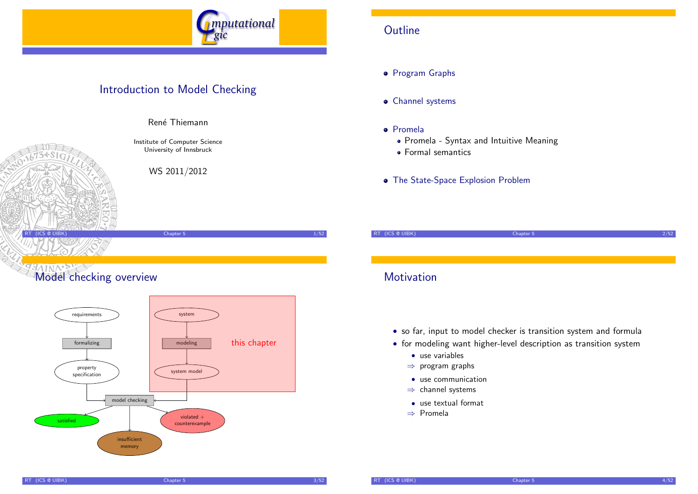

### Introduction to Model Checking



Institute of Computer Science

Ren´e Thiemann

University of Innsbruck

WS 2011/2012

# **Model checking overview**



### **Outline**

**•** Program Graphs

- Channel systems
- Promela
	- Promela Syntax and Intuitive Meaning
	- Formal semantics
- The State-Space Explosion Problem

RT (ICS @ UIBK) Chapter 5 2/52 **Motivation** 

- so far, input to model checker is transition system and formula
- for modeling want higher-level description as transition system
	- use variables
	- ⇒ program graphs
	- use communication
	- ⇒ channel systems
	- use textual format
	- ⇒ Promela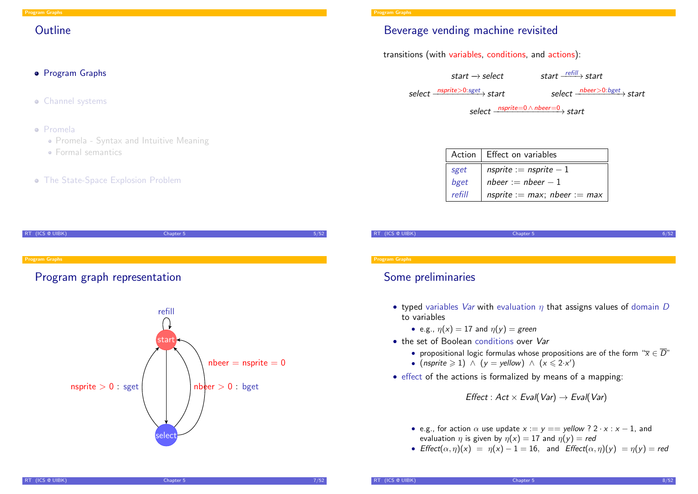### **Outline**

### **•** Program Graphs

- Channel systems
- Promela
	- Promela Syntax and Intuitive Meaning
	- Formal semantics
- **The State-Space Explosion Problem**

| RT (ICS @ UIBK)       | Chapter 5                    | 5/52 |
|-----------------------|------------------------------|------|
|                       |                              |      |
| <b>Program Graphs</b> |                              |      |
|                       | Program graph representation |      |
|                       |                              |      |



### Beverage vending machine revisited

### transitions (with variables, conditions, and actions):

 $start \rightarrow select$  start  $\rightarrow$  start  $\frac{refill}{}$  start

 $select \longrightarrow \text{S}$   $select \longrightarrow \text{S}$   $select \longrightarrow \text{S}$ 

select nsprite=0 ∧ nbeer=0 → start

|        | Action   Effect on variables           |
|--------|----------------------------------------|
| sget   | nsprite := $n$ sprite - 1              |
| bget   | $n \cdot n \cdot n \cdot n$ nbeer $-1$ |
| refill | nsprite := $max$ ; nbeer := $max$      |

| RT (ICS @ UIBK)<br>6/52<br>Chapter 5 |
|--------------------------------------|
|                                      |

#### **Program Graph**

### Some preliminaries

- typed variables *Var* with evaluation  $\eta$  that assigns values of domain *D* to variables
	- e.g.,  $\eta(x) = 17$  and  $\eta(y) =$  green
- the set of Boolean conditions over Var
	- propositional logic formulas whose propositions are of the form " $\overline{x} \in \overline{D}$ "
	- (nsprite  $\geqslant$  1)  $\land$  (y = yellow)  $\land$  (x  $\leqslant$  2·x')
- effect of the actions is formalized by means of a mapping:

Effect :  $Act \times Eval(Var) \rightarrow Eval(Var)$ 

- e.g., for action  $\alpha$  use update  $x := y ==$  yellow ? 2 · x : x 1, and evaluation  $\eta$  is given by  $\eta(x) = 17$  and  $\eta(y) = red$
- <span id="page-1-0"></span>• Effect $(\alpha, \eta)(x) = \eta(x) - 1 = 16$ , and Effect $(\alpha, \eta)(y) = \eta(y) =$ red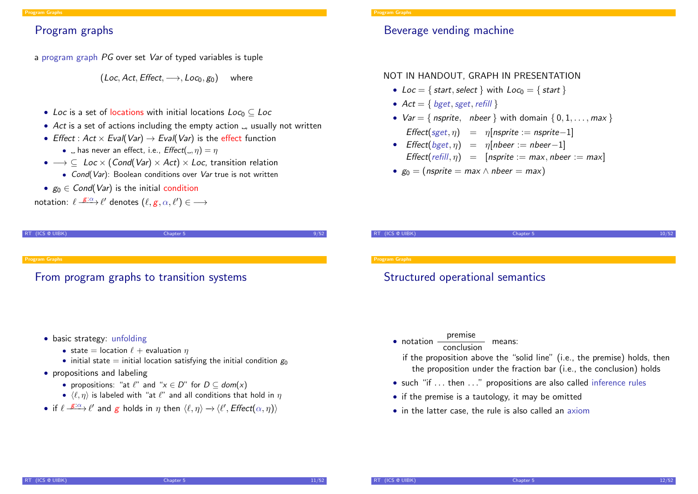### Program graphs

a program graph PG over set Var of typed variables is tuple

 $(Loc, Act, Effect, \longrightarrow, Loc_0, g_0)$  where

- Loc is a set of locations with initial locations  $Loc_0 \subset Loc$
- Act is a set of actions including the empty action  $\Box$ , usually not written
- Effect :  $Act \times Eval(Var) \rightarrow Eval(Var)$  is the effect function
	- $\Box$  has never an effect, i.e.,  $Effect(\Box, \eta) = \eta$
- $\rightarrow \subseteq$  Loc  $\times$  (Cond(Var)  $\times$  Act)  $\times$  Loc, transition relation
	- Cond(Var): Boolean conditions over Var true is not written
- $g_0 \in Cond(Var)$  is the initial condition

notation:  $\ell \stackrel{\mathcal{E}: \alpha}{\longrightarrow} \ell'$  denotes  $(\ell, g, \alpha, \ell') \in \longrightarrow$ 

RT (ICS @ UIBK) Chapter 5

| alban er |
|----------|
|----------|

### Beverage vending machine

### NOT IN HANDOUT, GRAPH IN PRESENTATION

- Loc = { start, select } with  $Loc_0 = \{ start \}$
- $Act = \{ bget, sget, refill \}$
- $Var = \{$  nsprite, nbeer  $\}$  with domain  $\{0, 1, \ldots, max\}$ 
	- $Effect(sget, \eta) = \eta[nsprite := nsprite-1]$
- Effect $(bget, \eta) = \eta[nbeer := nbeer-1]$ Effect(refill,  $n$ ) = [nsprite := max, nbeer := max]
- $g_0 = (n$ sprite = max  $\land$  nbeer = max)

RT (ICS @ UIBK) Chapter 5

#### Program Graphs

### [F](#page-1-0)rom program graphs to transition systems

- basic strategy: unfolding
	- state = location  $\ell$  + evaluation  $\eta$
	- initial state = initial location satisfying the initial condition  $g_0$

### • propositions and labeling

- propositions: "at  $\ell$ " and " $x \in D$ " for  $D \subset dom(x)$
- $\langle \ell, \eta \rangle$  is labeled with "at  $\ell$ " and all conditions that hold in  $\eta$
- if  $\ell \stackrel{g:\alpha}{\longrightarrow} \ell'$  and g holds in  $\eta$  then  $\langle \ell, \eta \rangle \rightarrow \langle \ell', E \text{ffect}(\alpha, \eta) \rangle$

#### Program Graphs

### Structured operational semantics

- $\bullet$  notation  $\frac{\text{premise}}{\text{conclusion}}$  means:
	- if the proposition above the "solid line" (i.e., the premise) holds, then the proposition under the fraction bar (i.e., the conclusion) holds
- such "if ... then ..." propositions are also called inference rules
- if the premise is a tautology, it may be omitted
- in the latter case, the rule is also called an axiom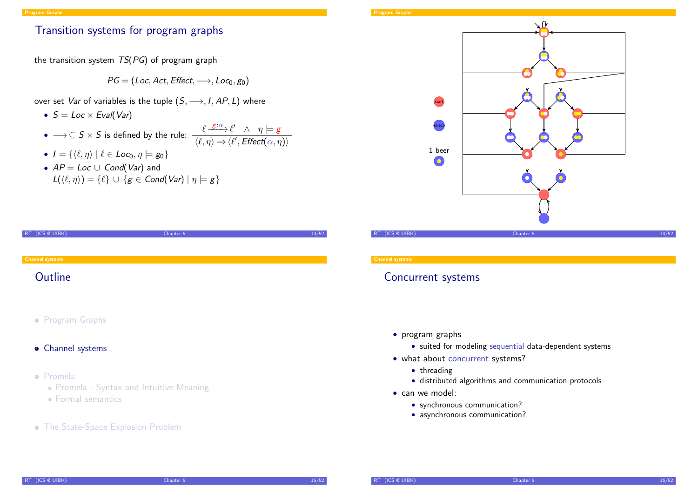### Transition systems for program graphs

the transition system  $TS(PG)$  of program graph

 $PG = (Loc, Act, Effect, \longrightarrow, Loc_0, go)$ 

- over set Var of variables is the tuple  $(S, \longrightarrow, I, AP, L)$  where
	- $S = Loc \times Eval(Var)$
	- $\bullet \longrightarrow \subseteq S \times S$  is defined by the rule:  $\frac{\ell \stackrel{g:\alpha}{\longrightarrow} \ell' \land \eta \models g}{\ell \stackrel{g:\alpha}{\longrightarrow} \ell' \stackrel{g:\alpha}{\longrightarrow} \ell'}.$  $\langle \ell, \eta \rangle \rightarrow \langle \ell', \text{Effect}(\alpha, \eta) \rangle$
	- $I = \{ \langle \ell, \eta \rangle \mid \ell \in Loc_0, \eta \models g_0 \}$
	- $AP = Loc \cup Cond(Var)$  and  $L(\langle \ell, \eta \rangle) = {\ell} \cup {\mathbf{g} \in \mathcal{C} \text{ond}(\mathcal{V}ar) \mid \eta \models \mathbf{g}}$

| (ICS @ UIBK)<br>R <sub>T</sub> | Chapter 5 | 13/52 |
|--------------------------------|-----------|-------|
|                                |           |       |
| <b>Channel systems</b>         |           |       |
| Outline                        |           |       |
|                                |           |       |
|                                |           |       |
| • Program Graphs               |           |       |
|                                |           |       |
| • Channel systems              |           |       |
|                                |           |       |
| · Promela                      |           |       |

- Promela Syntax and Intuitive Meaning
- [Formal semantics](#page-8-0)
- **The State-Space Explosion Problem**

#### Program Graphs



**Channel system** 

### Concurrent systems

- program graphs
	- suited for modeling sequential data-dependent systems
- what about concurrent systems?
	- threading
	- distributed algorithms and communication protocols
- <span id="page-3-0"></span>• can we model:
	- synchronous communication?
	- asynchronous communication?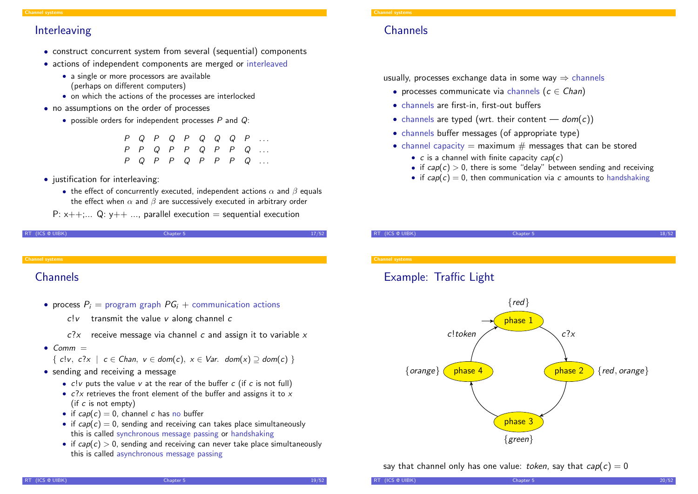### Interleaving

- construct concurrent system from several (sequential) components
- actions of independent components are merged or interleaved
	- a single or more processors are available (perhaps on different computers)
	- on which the actions of the processes are interlocked
- no assumptions on the order of processes
	- possible orders for independent processes  $P$  and  $Q$ :

|  |  |  |  | $P Q P Q P Q Q Q Q P $                                                           |
|--|--|--|--|----------------------------------------------------------------------------------|
|  |  |  |  | $P \quad P \quad Q \quad P \quad P \quad Q \quad P \quad P \quad Q \quad \ldots$ |
|  |  |  |  | $P Q P P Q P P P P Q $                                                           |

- justification for interleaving:
	- the effect of concurrently executed, independent actions  $\alpha$  and  $\beta$  equals the effect when  $\alpha$  and  $\beta$  are successively executed in arbitrary order

P:  $x++...$  Q:  $y++...$  parallel execution = sequential execution

```
RT (ICS @ UIBK) 27/52
```
#### hannel syste

### **[C](#page-3-0)hannels**

- process  $P_i$  = program graph  $PG_i$  + communication actions
	- $c!v$  transmit the value v along channel c
	- $c$ ? $x$  receive message via channel c and assign it to variable x
- $•$  Comm  $=$ 
	- $\{ c!v, c?x \mid c \in Chan, v \in dom(c), x \in Var. dom(x) \supset dom(c) \}$
- sending and receiving a message
	- $c!v$  puts the value v at the rear of the buffer  $c$  (if  $c$  is not full)
	- $c$ ?x retrieves the front element of the buffer and assigns it to x (if c is not empty)
	- if  $cap(c) = 0$ , channel c has no buffer
	- if  $cap(c) = 0$ , sending and receiving can takes place simultaneously this is called synchronous message passing or handshaking
	- if  $cap(c) > 0$ , sending and receiving can never take place simultaneously this is called asynchronous message passing

#### Channel systems

### **Channels**

usually, processes exchange data in some way  $\Rightarrow$  channels

- processes communicate via channels ( $c \in Chan$ )
- channels are first-in, first-out buffers
- channels are typed (wrt. their content  $-$  dom(c))
- channels buffer messages (of appropriate type)
- channel capacity  $=$  maximum  $#$  messages that can be stored
	- $c$  is a channel with finite capacity  $cap(c)$
	- if  $cap(c) > 0$ , there is some "delay" between sending and receiving
	- if  $cap(c) = 0$ , then communication via c amounts to handshaking

RT (ICS @ UIBK) Chapter 5

Channel systems

### Example: Traffic Light



say that channel only has one value: token, say that  $cap(c) = 0$ 

RT (ICS @ UIBK) 20/52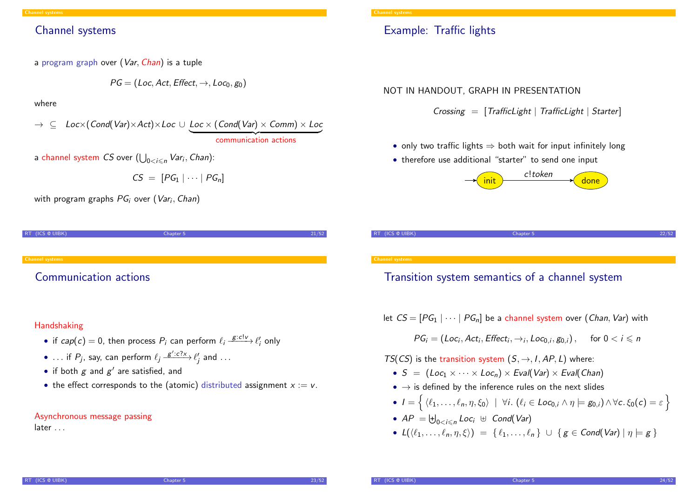### Channel systems

a program graph over (Var, Chan) is a tuple

$$
\mathit{PG} = (\mathit{Loc}, \mathit{Act}, \mathit{Effect}, \rightarrow, \mathit{Loc}_0, \mathit{g}_0)
$$

where

 $\rightarrow \subseteq$  Loc $\times$ (Cond(Var) $\times$ Act) $\times$ Loc  $\cup$  Loc  $\times$  (Cond(Var)  $\times$  Comm)  $\times$  Loc communication actions

a channel system  $CS$  over  $(\bigcup_{0 < i \leqslant n} \mathit{Var}_i, \mathit{Chan})$ :

$$
CS = [PG_1 | \cdots | PG_n]
$$

with program graphs  $PG_{i}$  over  $(\mathit{Var}_{i}, \mathit{Chan})$ 

| RT (ICS @ UIBK)        | Chapter 5 | 21/52 |
|------------------------|-----------|-------|
|                        |           |       |
|                        |           |       |
|                        |           |       |
| <b>Channel systems</b> |           |       |
|                        |           |       |

### [C](#page-3-0)ommunication actions

### Handshaking

- if  $cap(c) = 0$ , then process  $P_i$  can perform  $\ell_i \xrightarrow{g:c!\nu} \ell'_i$  only
- ... if  $P_j$ , say, can perform  $\ell_j \xrightarrow{g':c?x} \ell'_j$  and  $\dots$
- if both  $g$  and  $g'$  are satisfied, and
- the effect corresponds to the (atomic) distributed assignment  $x := v$ .

### Asynchronous message passing

later . . .

#### Channel systems

### Example: Traffic lights

NOT IN HANDOUT, GRAPH IN PRESENTATION

 $Crossing = [TrafficLight \mid TrafficLight \mid Starter]$ 

- only two traffic lights  $\Rightarrow$  both wait for input infinitely long
- therefore use additional "starter" to send one input





### Transition system semantics of a channel system

let  $CS = [PG_1 | \cdots | PG_n]$  be a channel system over (*Chan*, Var) with

 $PG_i = (Loc_i, Act_i, Effect_i, \rightarrow_i, Loc_{0,i}, g_{0,i}),$  for  $0 < i \leq n$ 

TS(CS) is the transition system  $(S, \rightarrow, I, AP, L)$  where:

- $S = (Loc_1 \times \cdots \times Loc_n) \times eval(Var) \times eval(Chan)$
- $\bullet \rightarrow$  is defined by the inference rules on the next slides
- $I = \{ \langle \ell_1, \ldots, \ell_n, \eta, \xi_0 \rangle \mid \forall i. \ (\ell_i \in Loc_{0,i} \land \eta \models g_{0,i}) \land \forall c. \xi_0(c) = \varepsilon \}$
- $AP = \biguplus_{0 < i \leq n} Loc_i \ \uplus \ Cond(Var)$
- $L({\ell_1, ..., \ell_n, \eta, \xi}) = {\ell_1, ..., \ell_n} \cup {\{ \mathsf{g} \in \mathsf{Cond}(\mathsf{Var}) \mid n \models \mathsf{g} \}}$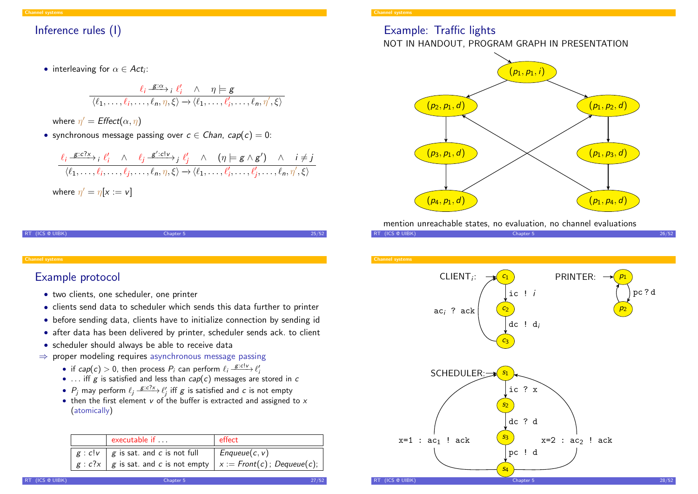### Inference rules (I)

• interleaving for  $\alpha \in Act_i$ :

$$
\frac{\ell_i \xrightarrow{\mathbf{g}:\alpha} i \ell'_i \wedge \eta \models \mathbf{g}}{\langle \ell_1, \ldots, \ell_i, \ldots, \ell_n, \eta, \xi \rangle \rightarrow \langle \ell_1, \ldots, \ell'_i, \ldots, \ell_n, \eta', \xi \rangle}
$$

where  $\eta' = \text{Effect}(\alpha, \eta)$ 

• synchronous message passing over  $c \in Chan$ ,  $cap(c) = 0$ :

$$
\frac{\ell_i \xrightarrow{g:c?x} i \ell'_i \wedge \ell_j \xrightarrow{g':c!\nu} j \ell'_j \wedge (\eta \models g \wedge g') \wedge i \neq j}{\langle \ell_1, \dots, \ell_i, \dots, \ell_j, \dots, \ell_n, \eta, \xi \rangle \rightarrow \langle \ell_1, \dots, \ell'_i, \dots, \ell'_j, \dots, \ell_n, \eta', \xi \rangle}
$$
\nwhere  $\eta' = \eta[x := v]$ 

RT (ICS @ UIBK) 25/52

#### hannel systen

### [E](#page-3-0)xample protocol

- two clients, one scheduler, one printer
- clients send data to scheduler which sends this data further to printer
- before sending data, clients have to initialize connection by sending id
- after data has been delivered by printer, scheduler sends ack. to client
- scheduler should always be able to receive data
- $\Rightarrow$  proper modeling requires asynchronous message passing
	- if  $cap(c) > 0$ , then process  $P_i$  can perform  $\ell_i \xrightarrow{g: cl \nu} \ell'_i$
	- ... iff  $g$  is satisfied and less than  $cap(c)$  messages are stored in  $c$
	- $P_j$  may perform  $\ell_j \xrightarrow{g:c?x} \ell'_j$  iff  $g$  is satisfied and  $c$  is not empty
	- then the first element  $v$  of the buffer is extracted and assigned to  $x$ (atomically)

| executable if $\dots$                      | effect                                                                                       |
|--------------------------------------------|----------------------------------------------------------------------------------------------|
| $g : c!v \mid g$ is sat. and c is not full | $Enqueue(c, v)$                                                                              |
|                                            | $\mid$ $g$ : c?x $\mid$ $g$ is sat. and $c$ is not empty $\mid$ $x$ := Front(c); Dequeue(c); |

## Example: Traffic lights

### NOT IN HANDOUT, PROGRAM GRAPH IN PRESENTATION



mention unreachable states, no evaluation, no channel evaluations

RT (ICS @ UIBK) Chapter 5 26/52

**Channel system** 

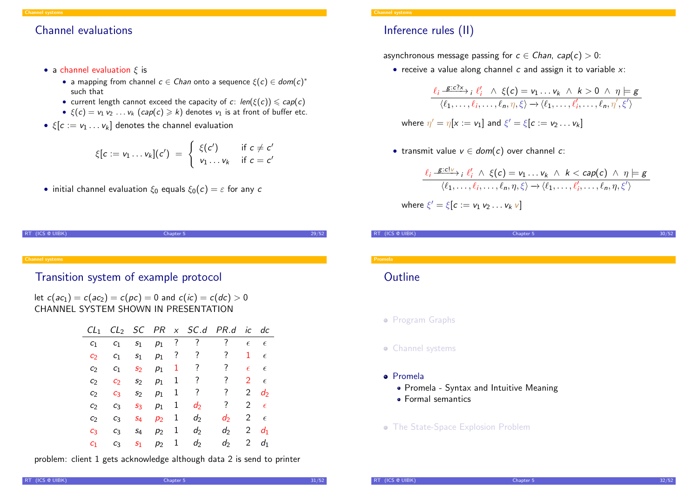### Channel evaluations

- a channel evaluation  $\xi$  is
	- a mapping from channel  $c \in \mathcal{C}$  and onto a sequence  $\xi(c) \in \mathcal{C}$ such that
	- current length cannot exceed the capacity of c:  $len(\xi(c)) \leqslant cap(c)$
	- $\xi(c) = v_1 v_2 \ldots v_k$  (cap(c)  $\ge k$ ) denotes  $v_1$  is at front of buffer etc.
- $\xi[c := v_1 \dots v_k]$  denotes the channel evaluation

$$
\xi[c := v_1 \dots v_k](c') = \begin{cases} \xi(c') & \text{if } c \neq c' \\ v_1 \dots v_k & \text{if } c = c' \end{cases}
$$

• initial channel evaluation  $\xi_0$  equals  $\xi_0(c) = \varepsilon$  for any c

| RT (ICS @ UIBK)        | Chapter 5 | 29/52 |
|------------------------|-----------|-------|
|                        |           |       |
|                        |           |       |
| <b>Channel systems</b> |           |       |

### [T](#page-3-0)ransition system of example protocol

let  $c(ac_1) = c(ac_2) = c(pc) = 0$  and  $c(ic) = c(dc) > 0$ CHANNEL SYSTEM SHOWN IN PRESENTATION

| $CL_1$         |                   |                |       |         | $CL_2$ SC PR $x$ SC.d PR.d |       |                | ic dc           |  |
|----------------|-------------------|----------------|-------|---------|----------------------------|-------|----------------|-----------------|--|
| C <sub>1</sub> | C <sub>1</sub>    | S <sub>1</sub> | $p_1$ | $\cdot$ | $\cdot$ ?                  | ?     | $\epsilon$     | $\epsilon$      |  |
| C <sub>2</sub> | C <sub>1</sub>    | S <sub>1</sub> | $p_1$ | ?       | $\overline{?}$             | ?     | 1              | $\epsilon$      |  |
| C <sub>2</sub> | C <sub>1</sub>    | S <sub>2</sub> | $p_1$ | 1       | ?                          | ?     | $\epsilon$     | $\epsilon$      |  |
| C <sub>2</sub> | $\mathcal{C}_{2}$ | S <sub>2</sub> | $p_1$ | 1       | ?                          | ?     | 2              | $\epsilon$      |  |
| C <sub>2</sub> | C3                | S <sub>2</sub> | $p_1$ | 1       | ?                          | ?     | 2              | $\mathcal{d}_2$ |  |
| C <sub>2</sub> | $C_3$             | $S_3$          | $p_1$ | 1       | $d_2$                      | ?     | 2              | $\epsilon$      |  |
| C <sub>2</sub> | $C_3$             | $S_4$          | $p_2$ | 1       | $d_2$                      | d     | 2              | $\epsilon$      |  |
| $C_3$          | $C_3$             | $S_4$          | $p_2$ | 1       | $d_2$                      | $d_2$ | $\overline{2}$ | $d_1$           |  |
| C <sub>1</sub> | $C_3$             | S <sub>1</sub> | $p_2$ | 1       | $d_2$                      | d     | 2              | $d_1$           |  |

problem: client 1 gets acknowledge although data 2 is send to printer

#### Channel systems

### Inference rules (II)

asynchronous message passing for  $c \in Chan$ ,  $cap(c) > 0$ :

• receive a value along channel  $c$  and assign it to variable  $x$ :

$$
\frac{\ell_i \xrightarrow{g:c?x} i \ell'_i \wedge \xi(c) = v_1 \dots v_k \wedge k > 0 \wedge \eta \models g}{\langle \ell_1, \dots, \ell_i, \dots, \ell_n, \eta, \xi \rangle \rightarrow \langle \ell_1, \dots, \ell'_i, \dots, \ell_n, \eta', \xi' \rangle}
$$

where 
$$
\eta' = \eta[x := v_1]
$$
 and  $\xi' = \xi[c := v_2 \dots v_k]$ 

• transmit value  $v \in dom(c)$  over channel c:

$$
\frac{\ell_i \xrightarrow{g:c!\nu} i \ell'_i \wedge \xi(c) = v_1 \dots v_k \wedge k < cap(c) \wedge \eta \models g}{\langle \ell_1, \dots, \ell_i, \dots, \ell_n, \eta, \xi \rangle \rightarrow \langle \ell_1, \dots, \ell'_i, \dots, \ell_n, \eta, \xi' \rangle}
$$

where 
$$
\xi' = \xi[c := v_1 v_2 \ldots v_k v]
$$

| RT (ICS @ UIBK)      | Chapter 5 | <b>EO</b> |
|----------------------|-----------|-----------|
|                      |           |           |
| Dunmala <sub>1</sub> |           |           |

### **Outline**

- **Program Graphs**
- **•** Channel systems
- Promela
	- Promela Syntax and Intuitive Meaning
	- Formal semantics
- **The State-Space Explosion Problem**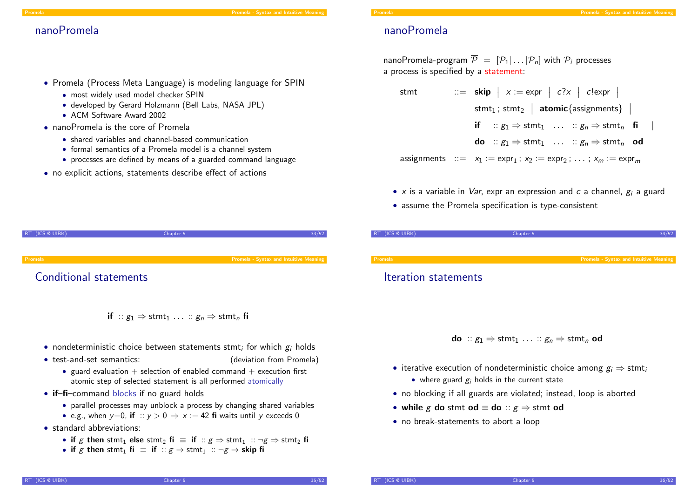#### Promela Promela - Syntax and Intuitive Meaning

- 
- Promela (Process Meta Language) is modeling language for SPIN
	- most widely used model checker SPIN
	- developed by Gerard Holzmann (Bell Labs, NASA JPL)
	- ACM Software Award 2002
- nanoPromela is the core of Promela
	- shared variables and channel-based communication
	- formal semantics of a Promela model is a channel system
	- processes are defined by means of a guarded command language
- no explicit actions, statements describe effect of actions

### nanoPromela

nanoPromela-program  $\overline{P} = [P_1 | ... | P_n]$  with  $P_i$  processes a process is specified by a statement:

- stmt  $\therefore$  skip  $x := \exp \left| \begin{array}{c} c?x \end{array} \right|$  c! expr  $\overline{\phantom{a}}$  $\overline{\phantom{a}}$  $\mathsf{stmt}_1$  ;  $\mathsf{stmt}_2 \; | \; \mathsf{atomic} \{ \mathsf{assignments} \} \; |$ if ::  $g_1 \Rightarrow$  stmt<sub>1</sub> ... ::  $g_n \Rightarrow$  stmt<sub>n</sub> fi **do** ::  $g_1 \Rightarrow$  stmt<sub>1</sub> ... ::  $g_n \Rightarrow$  stmt<sub>n</sub> od assignments  $\therefore = x_1 := \exp r_1$ ;  $x_2 := \exp r_2$ ;  $\dots$ ;  $x_m := \exp r_m$
- x is a variable in *Var*, expr an expression and c a channel,  $g_i$  a guard
- assume the Promela specification is type-consistent

| RT (ICS @ UIBK)        | Chapter 5 | 33/52                                  | RT (ICS @ UIBK)      | Chapter 5 | 34/52                                  |
|------------------------|-----------|----------------------------------------|----------------------|-----------|----------------------------------------|
| Promela                |           | Promela - Syntax and Intuitive Meaning | Promela              |           | Promela - Syntax and Intuitive Meaning |
| Conditional statements |           |                                        | Iteration statements |           |                                        |
|                        |           |                                        |                      |           |                                        |

- **do** ::  $\mathfrak{e}_1 \Rightarrow$  stmt<sub>1</sub> ... ::  $\mathfrak{e}_n \Rightarrow$  stmt<sub>n</sub> od
- iterative execution of nondeterministic choice among  $g_i \Rightarrow$  stmt
	- where guard  $g_i$  holds in the current state
- no blocking if all guards are violated; instead, loop is aborted
- while g do stmt od  $\equiv$  do ::  $g \Rightarrow$  stmt od
- <span id="page-8-0"></span>• no break-statements to abort a loop

### Conditional statements

- if ::  $g_1 \Rightarrow$  stmt<sub>1</sub> ... ::  $g_n \Rightarrow$  stmt<sub>n</sub> fi
- $\bullet$  nondeterministic choice between statements stmt; for which  $g_i$  holds
- 
- test-and-set semantics: (deviation from Promela)
	- guard evaluation  $+$  selection of enabled command  $+$  execution first atomic step of selected statement is all performed atomically
- **if–fi–command blocks if no guard holds** 
	- parallel processes may unblock a process by changing shared variables
	- e.g., when  $y=0$ , if ::  $y>0 \Rightarrow x:=42$  fi waits until y exceeds 0
- standard abbreviations:
	- if g then stmt<sub>1</sub> else stmt<sub>2</sub> fi  $\equiv$  if  $\therefore g \Rightarrow$  stmt<sub>1</sub>  $\therefore \neg g \Rightarrow$  stmt<sub>2</sub> fi
	- if g then stmt<sub>1</sub> fi  $\equiv$  if  $\therefore g \Rightarrow$  stmt<sub>1</sub>  $\therefore \neg g \Rightarrow$  skip fi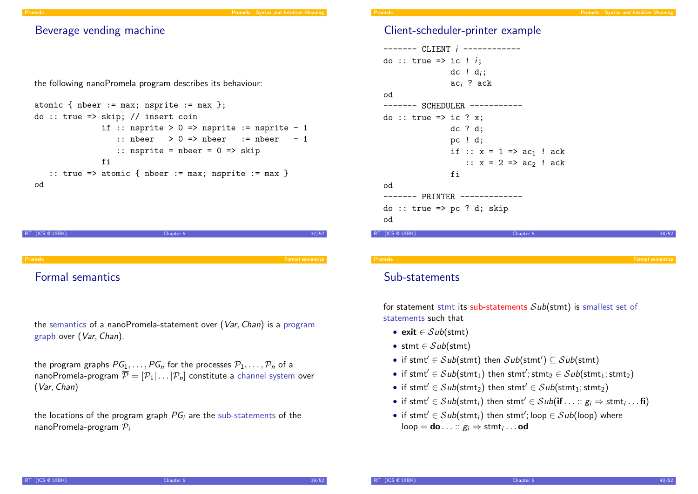### Beverage vending machine

the following nanoPromela program describes its behaviour:

```
atomic { nbeer := \max; nsprite := \max };
do :: true => skip; // insert coin
              if :: nsprite > 0 => nsprite := nsprite - 1
                  :: nbeer > 0 \Rightarrow nbeer := nbeer - 1
                  :: nsprite = nbeer = 0 \Rightarrow skip
               fi
   :: true => atomic { nbeer := max; nsprite := max }
od
```


Formal semantics

the semantics of a nanoPromela-statement over (Var, Chan) is a program graph over (Var, Chan).

the program graphs  $PG_1, \ldots, PG_n$  for the processes  $P_1, \ldots, P_n$  of a nanoPromela-program  $\overline{\mathcal{P}} = [\mathcal{P}_1 | \dots | \mathcal{P}_n]$  constitute a channel system over (Var, Chan)

the locations of the program graph  $PG<sub>i</sub>$  are the sub-statements of the nanoPromela-program  $P_i$ 

### Client-scheduler-printer example

```
------- CLIENT i ------------
  do :: true => ic ! i;
                 dc ! d_i;
                 aci ? ack
  od
  ------- SCHEDULER -----------
  do :: true => ic ? x;
                 dc ? d;
                 pc ! d;
                 if :: x = 1 \Rightarrow ac_1 ! ack
                    \therefore x = 2 \Rightarrow ac_2 ! ack
                 fi
  od
  ------- PRINTER -------------
  do :: true => pc ? d; skip
  od
RT (ICS @ UIBK) Chapter 5
```
Sub-statements

for statement stmt its sub-statements  $Sub(\text{stmt})$  is smallest set of statements such that

- exit  $\in$  Sub(stmt)
- stmt  $\in$  Sub(stmt)
- if stmt'  $\in$  Sub(stmt) then Sub(stmt')  $\subseteq$  Sub(stmt)
- if stmt'  $\in Sub({\sfstmt}_1)$  then stmt'; stmt $_2 \in Sub({\sfstmt}_1; {\sfstmt}_2)$
- if stmt'  $\in Sub({\mathsf{stmt}})$  then stmt'  $\in Sub({\mathsf{stmt}}_1; {\mathsf{stmt}}_2)$
- if stmt'  $\in$   $Sub({\sf{stmt}}_i)$  then stmt'  $\in$   $Sub({\sf{if}} \dots :: g_i \Rightarrow {\sf{stmt}}_i ...$   ${\sf{fi}})$
- <span id="page-9-0"></span>• if stmt'  $\in$   $Sub({\sf{stmt}}_i)$  then stmt'; loop  $\in$   $Sub({\sf loop})$  where  $\mathsf{loop} = \mathsf{do} \ldots :: g_i \Rightarrow \mathsf{stmt}_i \ldots \mathsf{od}$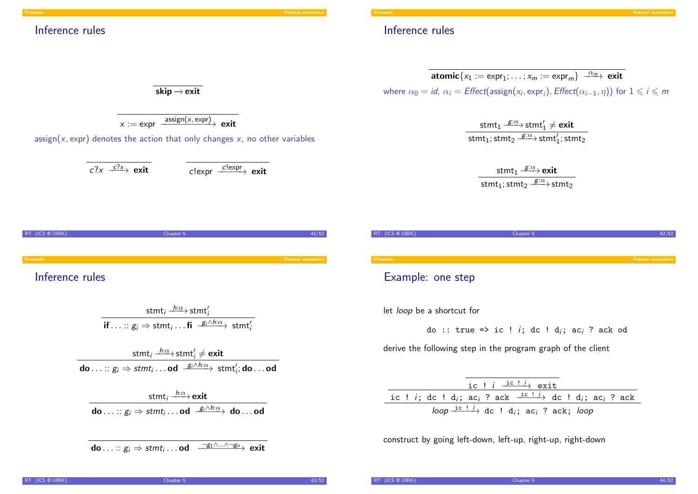#### Promela Formal semantics in the contract of the contract of the contract of the contract of the contract of the contract of the contract of the contract of the contract of the contract of the contract of the contract of th

### Inference rules

### Inference rules

$$
\overline{\text{atomic}\{x_1 := \text{expr}_1; \dots; x_m := \text{expr}_m\} \xrightarrow{\alpha_m} \text{exit}}
$$
\n
$$
\text{where } \alpha_0 = \text{id}, \ \alpha_i = \text{Effect}(\text{assign}(x_i, \text{expr}_i), \text{Effect}(\alpha_{i-1}, \eta)) \text{ for } 1 \leq i \leq m
$$

 $\mathsf{stmt}_1 \xrightarrow{g:\alpha} \mathsf{stmt}_1' \neq \mathsf{exit}$ stmt $_1$ ; stmt $_2 \xrightarrow{g:\alpha}$ stmt $_1'$ ; stmt $_2$ 

> stmt $_1 \xrightarrow{g:\alpha}$ exit stmt $_1$ ; stmt $_2 \xrightarrow{g:\alpha}$ stmt $_2$

| RT (ICS @ UIBK)   | Chapter 5 |                         |
|-------------------|-----------|-------------------------|
|                   |           |                         |
| Promela           |           | <b>Formal semantics</b> |
| Example: one step |           |                         |
|                   |           |                         |

let loop be a shortcut for

do :: true => ic ! i; dc ! d<sub>i</sub>; ac<sub>i</sub> ? ack od

derive the following step in the program graph of the client

| ic ! $i \xrightarrow{\text{ic} + i}$ exit                                                                                                                              |
|------------------------------------------------------------------------------------------------------------------------------------------------------------------------|
| ic ! <i>i</i> ; dc ! d <sub><i>i</i></sub> ; ac <sub><i>i</i></sub> ? ack $\frac{ic$ ! <i>i</i> <sub>1</sub> dc ! d <sub><i>i</i></sub> ; ac <sub><i>i</i></sub> ? ack |
| loop $\xrightarrow{ic + i}$ dc ! d <sub>i</sub> ; ac <sub>i</sub> ? ack; loop                                                                                          |

construct by going left-down, left-up, right-up, right-down

 $\overline{\textsf{skip} \rightarrow \textsf{exit}}$ 

$$
x := \text{expr} \xrightarrow{\text{assign}(x, \text{expr})} \text{exit}
$$

assign(x, expr) denotes the action that only changes x, no other variables

$$
c?\times \xrightarrow{c?x}
$$
 exit  $c!\exp r \xrightarrow{c!\exp r}$  exit

RT (ICS @ UIBK) Chapter 5 41/52 Promela Formal semantics

Inference rules

$$
\frac{\mathsf{stmt}_i \xrightarrow{h:\alpha} \mathsf{stmt}'_i}{\mathsf{if} \dots :: g_i \Rightarrow \mathsf{stmt}_i \dots \mathsf{fi} \xrightarrow{g_i \wedge h:\alpha} \mathsf{stmt}'_i}
$$

stmt $_i \xrightarrow{h:\alpha}$ stmt $'_i \neq \textsf{exit}$ do  $\dots::g_i\Rightarrow$   $stmt_i\dots$  od  $\stackrel{g_i\wedge h:\alpha}{\longrightarrow}$   $stmt_i';$  do  $\dots$  od

stmt $_{i}\xrightarrow{h:\alpha}$ exit do  $\dots::g_i\Rightarrow$   $stmt_i\dots$ od  $\stackrel{g_i\wedge h:\alpha}{\longrightarrow}$  do  $\dots$ od

$$
\textbf{do} \ldots :: g_i \Rightarrow \textit{stmt}_i \ldots \textbf{od} \quad \xrightarrow{\neg g_1 \wedge \ldots \wedge \neg g_n} \textbf{exit}
$$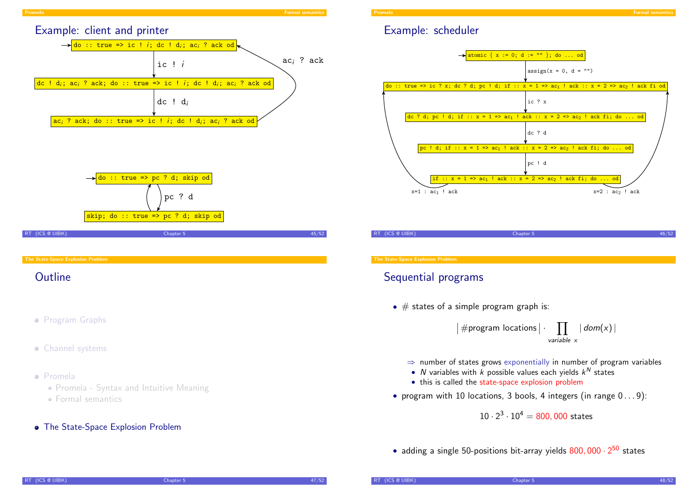

- Program Graphs
- **•** Channel systems

#### Promela

- Promela Syntax and Intuitive Meaning
- [Formal semantics](#page-8-0)
- **•** The State-Space Explosion Problem

### Example: scheduler



RT (ICS @ UIBK) 46/52

#### The State-Space Explosion Problem

### Sequential programs

•  $\#$  states of a simple program graph is:

 $\vert \#$ program locations $\vert \cdot$  $\Pi$ variable x  $| dom(x)|$ 

- $\Rightarrow$  number of states grows exponentially in number of program variables
- N variables with  $k$  possible values each yields  $k^N$  states
- this is called the state-space explosion problem
- program with 10 locations, 3 bools, 4 integers (in range  $0 \ldots 9$ ):

 $10 \cdot 2^3 \cdot 10^4 = 800,000$  states

<span id="page-11-0"></span>• adding a single 50-positions bit-array yields  $800,000 \cdot 2^{50}$  states